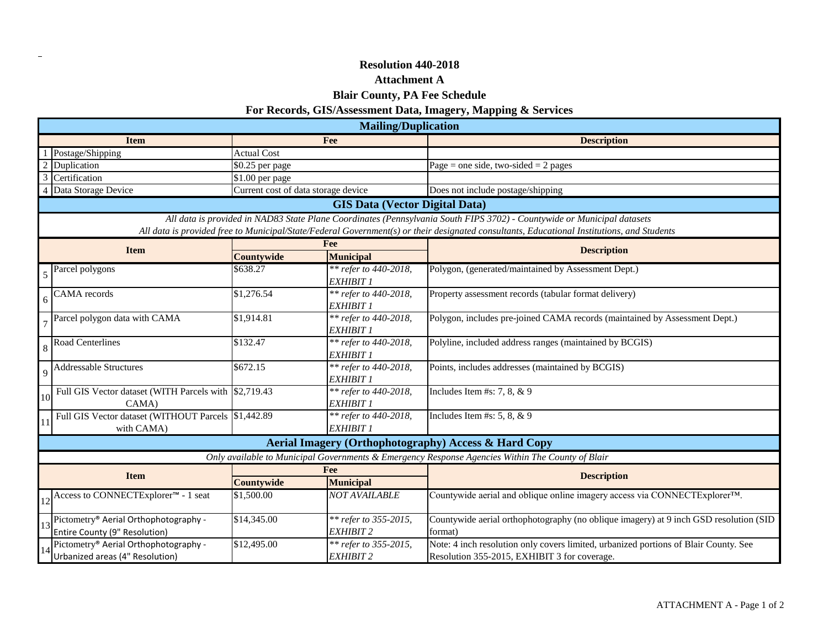### **Resolution 440-2018**

 $\overline{\phantom{a}}$ 

## **Attachment A**

## **Blair County, PA Fee Schedule**

# **For Records, GIS/Assessment Data, Imagery, Mapping & Services**

|                                 | <b>Mailing/Duplication</b>                                                                                                                 |                                     |                                           |                                                                                                  |  |  |  |  |
|---------------------------------|--------------------------------------------------------------------------------------------------------------------------------------------|-------------------------------------|-------------------------------------------|--------------------------------------------------------------------------------------------------|--|--|--|--|
|                                 | <b>Item</b>                                                                                                                                | Fee                                 |                                           | <b>Description</b>                                                                               |  |  |  |  |
|                                 | Postage/Shipping                                                                                                                           | <b>Actual Cost</b>                  |                                           |                                                                                                  |  |  |  |  |
|                                 | Duplication                                                                                                                                | \$0.25 per page                     |                                           | Page = one side, two-sided = $2$ pages                                                           |  |  |  |  |
| 3                               | Certification                                                                                                                              | \$1.00 per page                     |                                           |                                                                                                  |  |  |  |  |
|                                 | Data Storage Device                                                                                                                        | Current cost of data storage device |                                           | Does not include postage/shipping                                                                |  |  |  |  |
|                                 | <b>GIS Data (Vector Digital Data)</b>                                                                                                      |                                     |                                           |                                                                                                  |  |  |  |  |
|                                 | All data is provided in NAD83 State Plane Coordinates (Pennsylvania South FIPS 3702) - Countywide or Municipal datasets                    |                                     |                                           |                                                                                                  |  |  |  |  |
|                                 | All data is provided free to Municipal/State/Federal Government(s) or their designated consultants, Educational Institutions, and Students |                                     |                                           |                                                                                                  |  |  |  |  |
| <b>Item</b>                     |                                                                                                                                            | Fee                                 |                                           | <b>Description</b>                                                                               |  |  |  |  |
|                                 |                                                                                                                                            | Countywide                          | <b>Municipal</b>                          |                                                                                                  |  |  |  |  |
|                                 | Parcel polygons                                                                                                                            | \$638.27                            | ** refer to 440-2018,<br>EXHIBIT 1        | Polygon, (generated/maintained by Assessment Dept.)                                              |  |  |  |  |
|                                 | CAMA records                                                                                                                               | \$1,276.54                          | ** refer to 440-2018,<br><b>EXHIBIT 1</b> | Property assessment records (tabular format delivery)                                            |  |  |  |  |
|                                 | Parcel polygon data with CAMA                                                                                                              | \$1,914.81<br>** refer to 440-2018, |                                           | Polygon, includes pre-joined CAMA records (maintained by Assessment Dept.)                       |  |  |  |  |
|                                 | <b>Road Centerlines</b>                                                                                                                    | \$132.47                            | ** refer to 440-2018,<br>EXHIBIT 1        | Polyline, included address ranges (maintained by BCGIS)                                          |  |  |  |  |
|                                 | <b>Addressable Structures</b>                                                                                                              | \$672.15                            | ** refer to 440-2018,<br>EXHIBIT 1        | Points, includes addresses (maintained by BCGIS)                                                 |  |  |  |  |
| 10                              | Full GIS Vector dataset (WITH Parcels with \$2,719.43<br>CAMA)                                                                             |                                     | ** refer to 440-2018,<br>EXHIBIT 1        | Includes Item #s: 7, 8, $& 9$                                                                    |  |  |  |  |
|                                 | Full GIS Vector dataset (WITHOUT Parcels \$1,442.89<br>with CAMA)                                                                          |                                     | ** refer to 440-2018,<br><b>EXHIBIT 1</b> | Includes Item #s: 5, 8, $& 9$                                                                    |  |  |  |  |
|                                 | Aerial Imagery (Orthophotography) Access & Hard Copy                                                                                       |                                     |                                           |                                                                                                  |  |  |  |  |
|                                 |                                                                                                                                            |                                     |                                           | Only available to Municipal Governments & Emergency Response Agencies Within The County of Blair |  |  |  |  |
| <b>Item</b>                     |                                                                                                                                            | Fee                                 |                                           | <b>Description</b>                                                                               |  |  |  |  |
|                                 |                                                                                                                                            | Countywide                          | <b>Municipal</b>                          |                                                                                                  |  |  |  |  |
|                                 | Access to CONNECTExplorer <sup>™</sup> - 1 seat                                                                                            | \$1,500.00                          | <b>NOT AVAILABLE</b>                      | Countywide aerial and oblique online imagery access via CONNECTExplorer™.                        |  |  |  |  |
|                                 | Pictometry® Aerial Orthophotography -                                                                                                      | \$14,345.00                         | ** refer to 355-2015,                     | Countywide aerial orthophotography (no oblique imagery) at 9 inch GSD resolution (SID            |  |  |  |  |
|                                 | Entire County (9" Resolution)                                                                                                              |                                     | EXHIBIT 2                                 | format)                                                                                          |  |  |  |  |
|                                 | Pictometry® Aerial Orthophotography -                                                                                                      | \$12,495.00                         | ** refer to 355-2015,                     | Note: 4 inch resolution only covers limited, urbanized portions of Blair County. See             |  |  |  |  |
| Urbanized areas (4" Resolution) |                                                                                                                                            |                                     | <b>EXHIBIT 2</b>                          | Resolution 355-2015, EXHIBIT 3 for coverage.                                                     |  |  |  |  |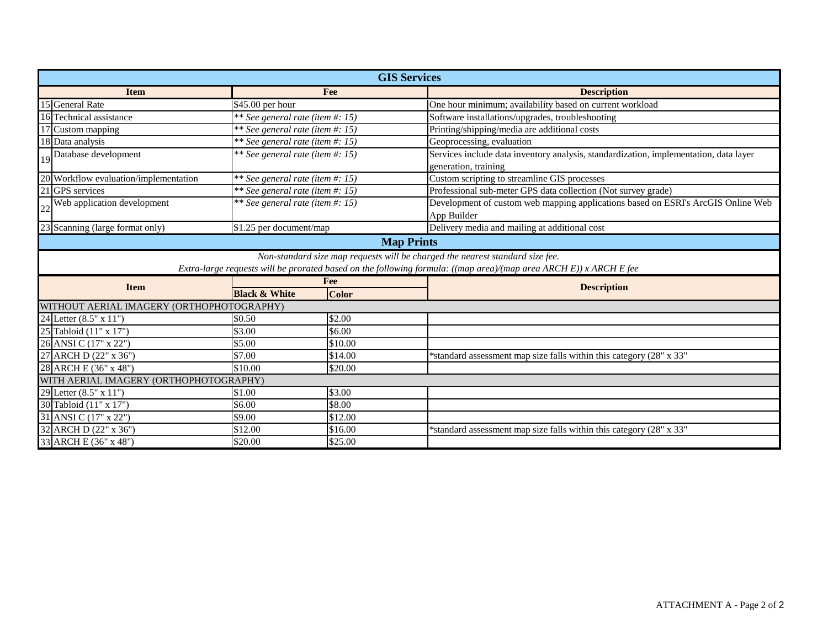| <b>GIS Services</b>                       |                                                                               |              |                                                                                                                   |  |  |  |  |  |
|-------------------------------------------|-------------------------------------------------------------------------------|--------------|-------------------------------------------------------------------------------------------------------------------|--|--|--|--|--|
| Fee<br><b>Item</b>                        |                                                                               |              | <b>Description</b>                                                                                                |  |  |  |  |  |
| 15 General Rate                           | \$45.00 per hour                                                              |              | One hour minimum; availability based on current workload                                                          |  |  |  |  |  |
| 16 Technical assistance                   | ** See general rate (item #: 15)                                              |              | Software installations/upgrades, troubleshooting                                                                  |  |  |  |  |  |
| 17 Custom mapping                         | ** See general rate (item #: 15)                                              |              | Printing/shipping/media are additional costs                                                                      |  |  |  |  |  |
| 18 Data analysis                          | ** See general rate (item #: 15)                                              |              | Geoprocessing, evaluation                                                                                         |  |  |  |  |  |
| 19 Database development                   | ** See general rate (item #: 15)                                              |              | Services include data inventory analysis, standardization, implementation, data layer<br>generation, training     |  |  |  |  |  |
| 20 Workflow evaluation/implementation     | ** See general rate (item #: 15)                                              |              | Custom scripting to streamline GIS processes                                                                      |  |  |  |  |  |
| 21 GPS services                           | ** See general rate (item #: 15)                                              |              | Professional sub-meter GPS data collection (Not survey grade)                                                     |  |  |  |  |  |
| Web application development               | ** See general rate (item #: 15)                                              |              | Development of custom web mapping applications based on ESRI's ArcGIS Online Web<br>App Builder                   |  |  |  |  |  |
| 23 Scanning (large format only)           | \$1.25 per document/map                                                       |              | Delivery media and mailing at additional cost                                                                     |  |  |  |  |  |
| <b>Map Prints</b>                         |                                                                               |              |                                                                                                                   |  |  |  |  |  |
|                                           | Non-standard size map requests will be charged the nearest standard size fee. |              |                                                                                                                   |  |  |  |  |  |
|                                           |                                                                               |              | Extra-large requests will be prorated based on the following formula: ((map area)/(map area ARCH E)) x ARCH E fee |  |  |  |  |  |
| <b>Item</b>                               | Fee                                                                           |              | <b>Description</b>                                                                                                |  |  |  |  |  |
|                                           | <b>Black &amp; White</b>                                                      | <b>Color</b> |                                                                                                                   |  |  |  |  |  |
| WITHOUT AERIAL IMAGERY (ORTHOPHOTOGRAPHY) |                                                                               |              |                                                                                                                   |  |  |  |  |  |
| 24 Letter (8.5" x 11")                    | \$0.50                                                                        | \$2.00       |                                                                                                                   |  |  |  |  |  |
| 25 Tabloid (11" x 17")                    | \$3.00                                                                        | \$6.00       |                                                                                                                   |  |  |  |  |  |
| 26 ANSI C (17" x 22")                     | \$5.00                                                                        | \$10.00      |                                                                                                                   |  |  |  |  |  |
| 27 ARCH D (22" x 36")                     | \$7.00                                                                        | \$14.00      | *standard assessment map size falls within this category (28" x 33"                                               |  |  |  |  |  |
| 28 ARCH E (36" x 48")                     | \$10.00                                                                       | \$20.00      |                                                                                                                   |  |  |  |  |  |
| WITH AERIAL IMAGERY (ORTHOPHOTOGRAPHY)    |                                                                               |              |                                                                                                                   |  |  |  |  |  |
| 29 Letter (8.5" x 11")                    | \$1.00                                                                        | \$3.00       |                                                                                                                   |  |  |  |  |  |
| 30 Tabloid (11" x 17")                    | \$6.00                                                                        | \$8.00       |                                                                                                                   |  |  |  |  |  |
| 31 ANSI C (17" x 22")                     | \$9.00                                                                        | \$12.00      |                                                                                                                   |  |  |  |  |  |
| 32 ARCH D (22" x 36")                     | \$12.00                                                                       | \$16.00      | *standard assessment map size falls within this category (28" x 33")                                              |  |  |  |  |  |
| 33 ARCH E (36" x 48")                     | \$20.00                                                                       | \$25.00      |                                                                                                                   |  |  |  |  |  |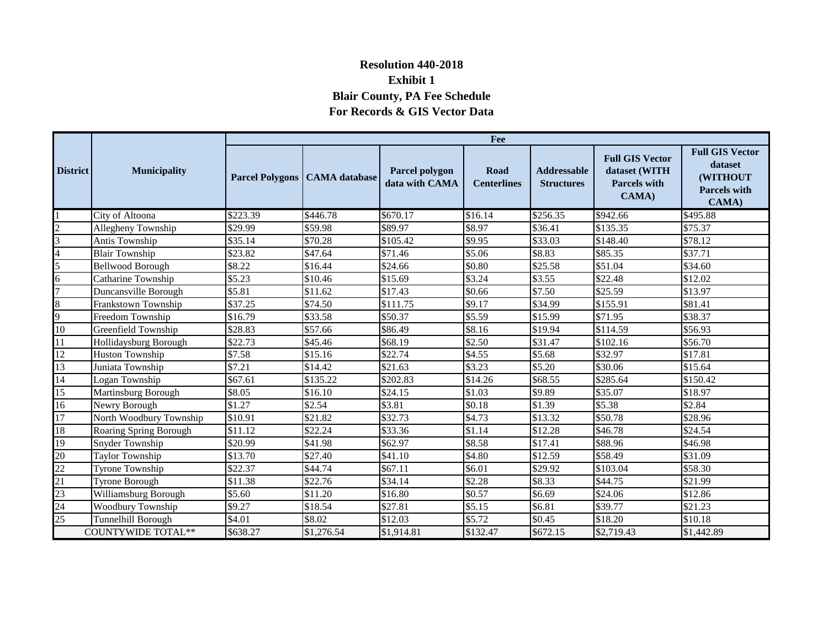# **Resolution 440-2018 Exhibit 1 Blair County, PA Fee Schedule For Records & GIS Vector Data**

|                                                       | <b>Municipality</b>      | Fee      |                                        |                                  |                            |                                         |                                                                         |                                                                               |
|-------------------------------------------------------|--------------------------|----------|----------------------------------------|----------------------------------|----------------------------|-----------------------------------------|-------------------------------------------------------------------------|-------------------------------------------------------------------------------|
| <b>District</b>                                       |                          |          | <b>Parcel Polygons   CAMA database</b> | Parcel polygon<br>data with CAMA | Road<br><b>Centerlines</b> | <b>Addressable</b><br><b>Structures</b> | <b>Full GIS Vector</b><br>dataset (WITH<br><b>Parcels with</b><br>CAMA) | <b>Full GIS Vector</b><br>dataset<br>(WITHOUT<br><b>Parcels with</b><br>CAMA) |
|                                                       | City of Altoona          | \$223.39 | \$446.78                               | \$670.17                         | \$16.14                    | \$256.35                                | \$942.66                                                                | \$495.88                                                                      |
| $\frac{2}{3}$                                         | Allegheny Township       | \$29.99  | \$59.98                                | \$89.97                          | \$8.97                     | \$36.41                                 | \$135.35                                                                | \$75.37                                                                       |
|                                                       | Antis Township           | \$35.14  | \$70.28                                | \$105.42                         | \$9.95                     | \$33.03                                 | \$148.40                                                                | \$78.12                                                                       |
| $\frac{4}{5}$                                         | <b>Blair Township</b>    | \$23.82  | \$47.64                                | \$71.46                          | \$5.06                     | \$8.83                                  | \$85.35                                                                 | \$37.71                                                                       |
|                                                       | <b>Bellwood Borough</b>  | \$8.22   | \$16.44                                | \$24.66                          | \$0.80                     | \$25.58                                 | \$51.04                                                                 | \$34.60                                                                       |
|                                                       | Catharine Township       | \$5.23   | \$10.46                                | \$15.69                          | \$3.24                     | \$3.55                                  | \$22.48                                                                 | \$12.02                                                                       |
| $\overline{7}$                                        | Duncansville Borough     | \$5.81   | \$11.62                                | \$17.43                          | \$0.66                     | \$7.50                                  | \$25.59                                                                 | \$13.97                                                                       |
| $\begin{array}{c}\n8 \\ 9\n\end{array}$               | Frankstown Township      | \$37.25  | \$74.50                                | \$111.75                         | \$9.17                     | \$34.99                                 | \$155.91                                                                | \$81.41                                                                       |
|                                                       | Freedom Township         | \$16.79  | \$33.58                                | \$50.37                          | \$5.59                     | \$15.99                                 | \$71.95                                                                 | \$38.37                                                                       |
| $10\,$                                                | Greenfield Township      | \$28.83  | \$57.66                                | \$86.49                          | \$8.16                     | \$19.94                                 | \$114.59                                                                | \$56.93                                                                       |
| 11                                                    | Hollidaysburg Borough    | \$22.73  | \$45.46                                | \$68.19                          | \$2.50                     | \$31.47                                 | \$102.16                                                                | \$56.70                                                                       |
| 12                                                    | <b>Huston Township</b>   | \$7.58   | \$15.16                                | \$22.74                          | \$4.55                     | \$5.68                                  | \$32.97                                                                 | \$17.81                                                                       |
| 13                                                    | Juniata Township         | \$7.21   | \$14.42                                | \$21.63                          | \$3.23                     | \$5.20                                  | \$30.06                                                                 | \$15.64                                                                       |
| 14                                                    | Logan Township           | \$67.61  | \$135.22                               | \$202.83                         | \$14.26                    | \$68.55                                 | \$285.64                                                                | \$150.42                                                                      |
| 15                                                    | Martinsburg Borough      | \$8.05   | \$16.10                                | \$24.15                          | \$1.03                     | \$9.89                                  | \$35.07                                                                 | \$18.97                                                                       |
| 16                                                    | Newry Borough            | \$1.27   | \$2.54                                 | \$3.81                           | \$0.18                     | \$1.39                                  | \$5.38                                                                  | \$2.84                                                                        |
| 17                                                    | North Woodbury Township  | \$10.91  | \$21.82                                | \$32.73                          | \$4.73                     | \$13.32                                 | \$50.78                                                                 | \$28.96                                                                       |
| 18                                                    | Roaring Spring Borough   | \$11.12  | \$22.24                                | \$33.36                          | \$1.14                     | \$12.28                                 | \$46.78                                                                 | \$24.54                                                                       |
| 19                                                    | Snyder Township          | \$20.99  | \$41.98                                | \$62.97                          | \$8.58                     | \$17.41                                 | \$88.96                                                                 | \$46.98                                                                       |
|                                                       | <b>Taylor Township</b>   | \$13.70  | \$27.40                                | \$41.10                          | \$4.80                     | \$12.59                                 | \$58.49                                                                 | \$31.09                                                                       |
|                                                       | <b>Tyrone Township</b>   | \$22.37  | \$44.74                                | \$67.11                          | \$6.01                     | \$29.92                                 | \$103.04                                                                | \$58.30                                                                       |
|                                                       | <b>Tyrone Borough</b>    | \$11.38  | \$22.76                                | \$34.14                          | \$2.28                     | \$8.33                                  | \$44.75                                                                 | \$21.99                                                                       |
| $\frac{20}{22}$<br>$\frac{22}{23}$<br>$\frac{23}{24}$ | Williamsburg Borough     | \$5.60   | \$11.20                                | \$16.80                          | \$0.57                     | \$6.69                                  | \$24.06                                                                 | \$12.86                                                                       |
|                                                       | <b>Woodbury Township</b> | \$9.27   | \$18.54                                | \$27.81                          | \$5.15                     | \$6.81                                  | \$39.77                                                                 | \$21.23                                                                       |
| $\frac{25}{25}$                                       | Tunnelhill Borough       | \$4.01   | \$8.02                                 | \$12.03                          | \$5.72                     | \$0.45                                  | \$18.20                                                                 | \$10.18                                                                       |
| <b>COUNTYWIDE TOTAL**</b>                             |                          | \$638.27 | \$1,276.54                             | \$1,914.81                       | \$132.47                   | \$672.15                                | \$2,719.43                                                              | \$1,442.89                                                                    |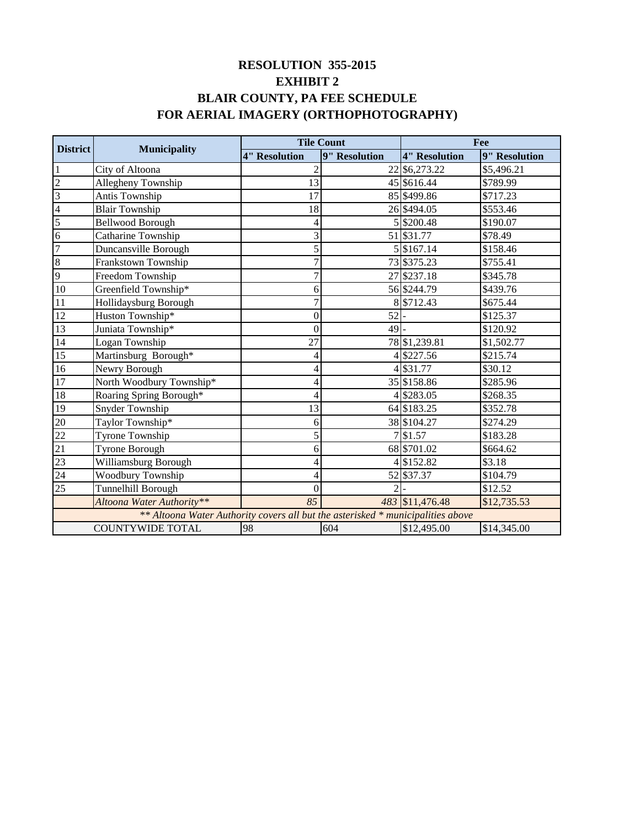# **FOR AERIAL IMAGERY (ORTHOPHOTOGRAPHY) BLAIR COUNTY, PA FEE SCHEDULE EXHIBIT 2 RESOLUTION 355-2015**

| <b>District</b>                                                                 |                           |                      | <b>Tile Count</b> | Fee                  |               |  |  |
|---------------------------------------------------------------------------------|---------------------------|----------------------|-------------------|----------------------|---------------|--|--|
|                                                                                 | <b>Municipality</b>       | <b>4" Resolution</b> | 9" Resolution     | <b>4" Resolution</b> | 9" Resolution |  |  |
| $\mathbf{1}$                                                                    | City of Altoona           | $\overline{c}$       |                   | 22 \$6,273.22        | \$5,496.21    |  |  |
| $\overline{2}$                                                                  | Allegheny Township        | 13                   |                   | 45 \$616.44          | \$789.99      |  |  |
| $\overline{\mathbf{3}}$                                                         | Antis Township            | 17                   |                   | 85 \$499.86          | \$717.23      |  |  |
| $\overline{4}$                                                                  | <b>Blair Township</b>     | 18                   |                   | 26 \$494.05          | \$553.46      |  |  |
| 5                                                                               | <b>Bellwood Borough</b>   | 4                    |                   | 5 \$200.48           | \$190.07      |  |  |
| $\overline{6}$                                                                  | Catharine Township        | 3                    |                   | 51 \$31.77           | \$78.49       |  |  |
| 7                                                                               | Duncansville Borough      | 5                    |                   | 5 \$167.14           | \$158.46      |  |  |
| $\overline{8}$                                                                  | Frankstown Township       | $\overline{7}$       |                   | 73 \$375.23          | \$755.41      |  |  |
| 9                                                                               | Freedom Township          |                      |                   | 27 \$237.18          | \$345.78      |  |  |
| 10                                                                              | Greenfield Township*      | 6                    |                   | 56 \$244.79          | \$439.76      |  |  |
| 11                                                                              | Hollidaysburg Borough     |                      |                   | 8 \$712.43           | \$675.44      |  |  |
| 12                                                                              | Huston Township*          | $\Omega$             | 52                |                      | \$125.37      |  |  |
| 13                                                                              | Juniata Township*         | $\overline{0}$       | 49                |                      | \$120.92      |  |  |
| 14                                                                              | Logan Township            | 27                   |                   | 78 \$1,239.81        | \$1,502.77    |  |  |
| 15                                                                              | Martinsburg Borough*      | 4                    |                   | 4 \$227.56           | \$215.74      |  |  |
| 16                                                                              | Newry Borough             | 4                    |                   | 4 \$31.77            | \$30.12       |  |  |
| 17                                                                              | North Woodbury Township*  | 4                    |                   | 35 \$158.86          | \$285.96      |  |  |
| 18                                                                              | Roaring Spring Borough*   | 4                    |                   | 4 \$283.05           | \$268.35      |  |  |
| 19                                                                              | Snyder Township           | 13                   |                   | 64 \$183.25          | \$352.78      |  |  |
| 20                                                                              | Taylor Township*          | 6                    |                   | 38 \$104.27          | \$274.29      |  |  |
| $\frac{22}{21}$                                                                 | Tyrone Township           | 5                    |                   | 7 \$1.57             | \$183.28      |  |  |
|                                                                                 | Tyrone Borough            | 6                    |                   | 68 \$701.02          | \$664.62      |  |  |
| 23                                                                              | Williamsburg Borough      | 4                    |                   | 4 \$152.82           | \$3.18        |  |  |
| 24                                                                              | <b>Woodbury Township</b>  | 4                    |                   | 52 \$37.37           | \$104.79      |  |  |
| 25                                                                              | Tunnelhill Borough        |                      | $\overline{2}$    |                      | \$12.52       |  |  |
|                                                                                 | Altoona Water Authority** | 85                   |                   | 483 \$11,476.48      | \$12,735.53   |  |  |
| ** Altoona Water Authority covers all but the asterisked * municipalities above |                           |                      |                   |                      |               |  |  |
|                                                                                 | <b>COUNTYWIDE TOTAL</b>   | 98                   | 604               | \$12,495.00          | \$14,345.00   |  |  |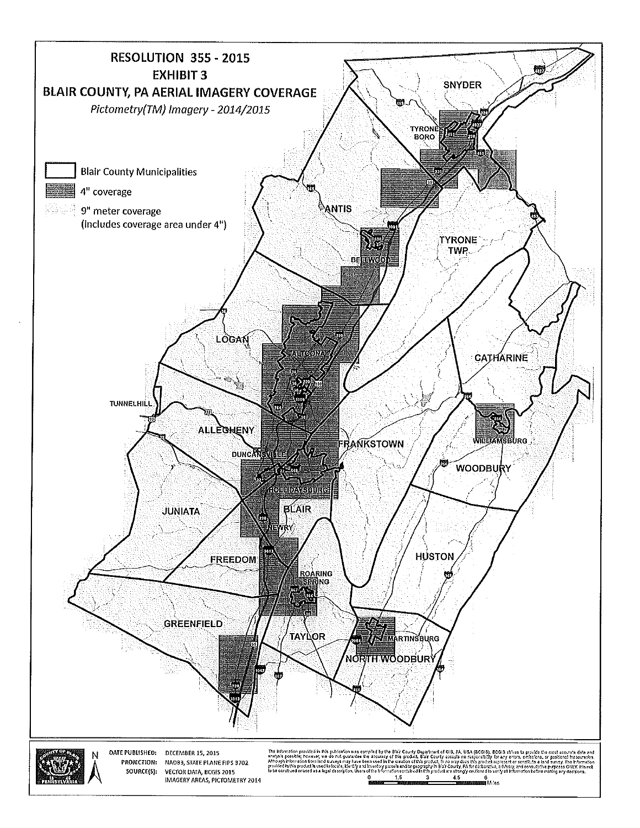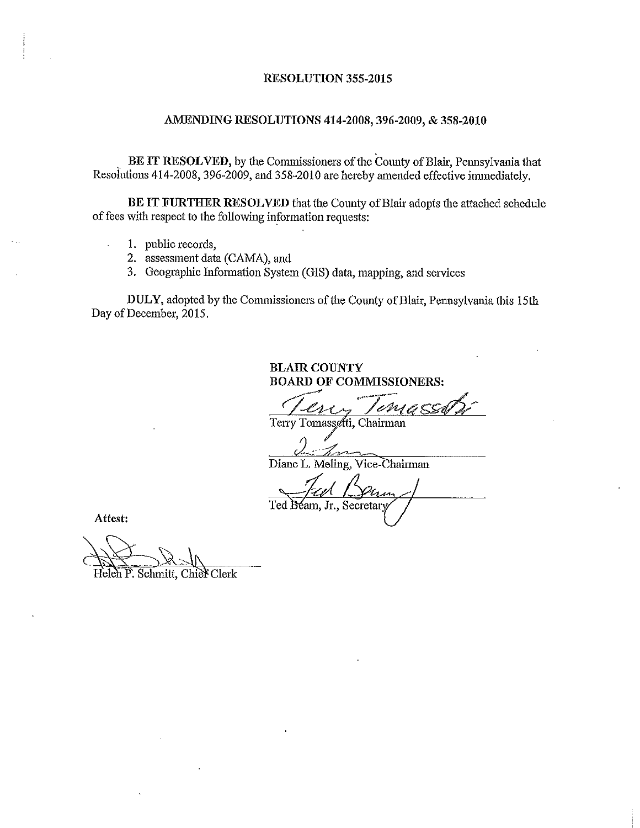#### RESOLUTION 355-2015

### AMENDING RESOLUTIONS 414-2008, 396-2009, & 358-2010

BE IT RESOLVED, by the Commissioners of the County of Blair, Pennsylvania that Resolutions 414-2008, 396-2009, and 358-2010 are hereby amended effective immediately.

BE IT FURTHER RESOLVED that the County of Blair adopts the attached schedule of fees with respect to the following information requests:

- 1. public records,
- 2. assessment data (CAMA), and
- 3. Geographic Information System (GIS) data, mapping, and services

DULY, adopted by the Commissioners of the County of Blair, Pennsylvania this 15th Day of December, 2015.

> **BLAIR COUNTY BOARD OF COMMISSIONERS:**

Terry Tomassetti, Chairman

hnom Diane L. Meling, Vice-Chairman

Ted Béam, Jr., Secretary

Attest:

 $\ddot{\phantom{a}}$ 

Heleh P. Schmitt, Chief Clerk